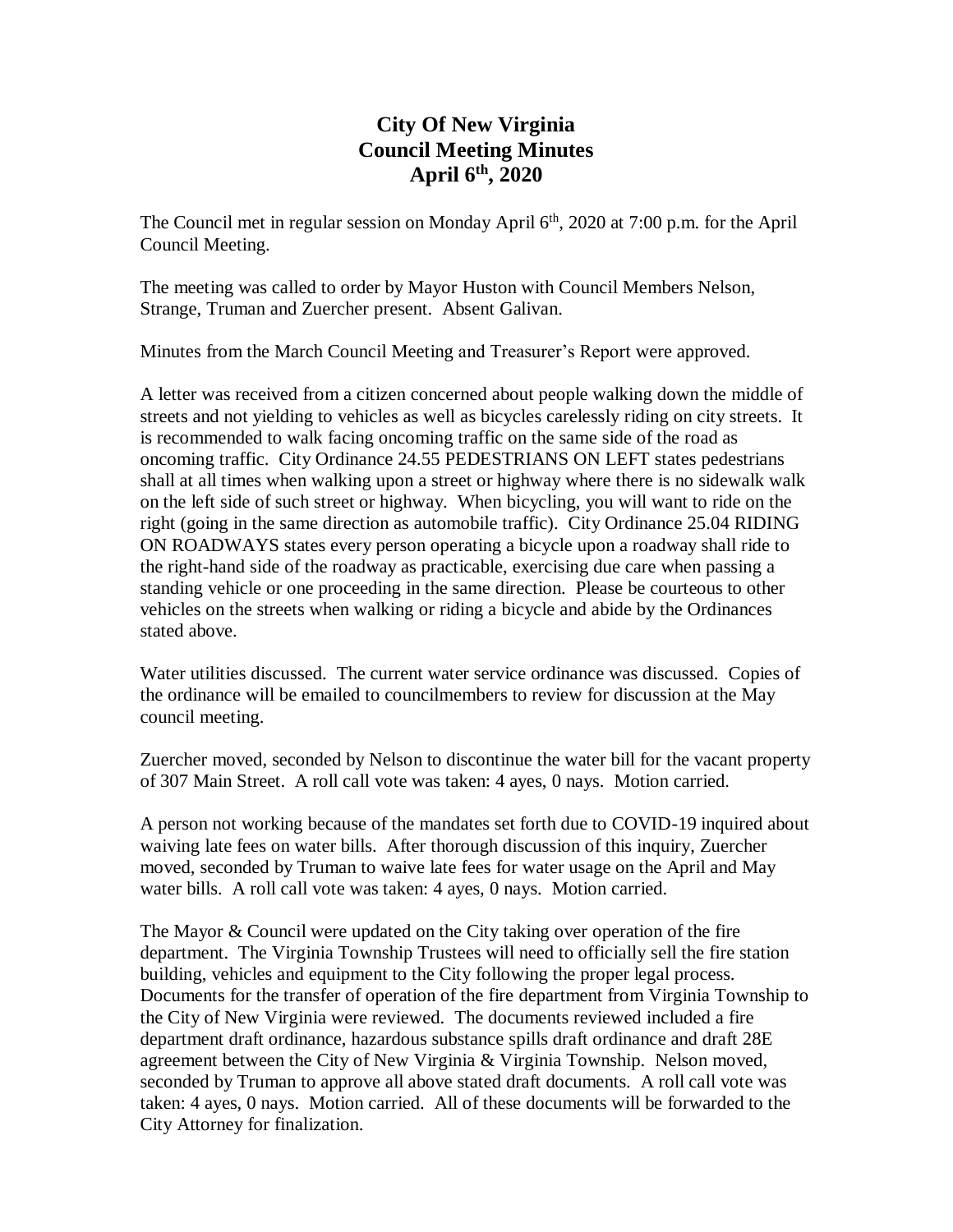# **City Of New Virginia Council Meeting Minutes April 6th , 2020**

The Council met in regular session on Monday April 6<sup>th</sup>, 2020 at 7:00 p.m. for the April Council Meeting.

The meeting was called to order by Mayor Huston with Council Members Nelson, Strange, Truman and Zuercher present. Absent Galivan.

Minutes from the March Council Meeting and Treasurer's Report were approved.

A letter was received from a citizen concerned about people walking down the middle of streets and not yielding to vehicles as well as bicycles carelessly riding on city streets. It is recommended to walk facing oncoming traffic on the same side of the road as oncoming traffic. City Ordinance 24.55 PEDESTRIANS ON LEFT states pedestrians shall at all times when walking upon a street or highway where there is no sidewalk walk on the left side of such street or highway. When bicycling, you will want to ride on the right (going in the same direction as automobile traffic). City Ordinance 25.04 RIDING ON ROADWAYS states every person operating a bicycle upon a roadway shall ride to the right-hand side of the roadway as practicable, exercising due care when passing a standing vehicle or one proceeding in the same direction. Please be courteous to other vehicles on the streets when walking or riding a bicycle and abide by the Ordinances stated above.

Water utilities discussed. The current water service ordinance was discussed. Copies of the ordinance will be emailed to councilmembers to review for discussion at the May council meeting.

Zuercher moved, seconded by Nelson to discontinue the water bill for the vacant property of 307 Main Street. A roll call vote was taken: 4 ayes, 0 nays. Motion carried.

A person not working because of the mandates set forth due to COVID-19 inquired about waiving late fees on water bills. After thorough discussion of this inquiry, Zuercher moved, seconded by Truman to waive late fees for water usage on the April and May water bills. A roll call vote was taken: 4 ayes, 0 nays. Motion carried.

The Mayor & Council were updated on the City taking over operation of the fire department. The Virginia Township Trustees will need to officially sell the fire station building, vehicles and equipment to the City following the proper legal process. Documents for the transfer of operation of the fire department from Virginia Township to the City of New Virginia were reviewed. The documents reviewed included a fire department draft ordinance, hazardous substance spills draft ordinance and draft 28E agreement between the City of New Virginia & Virginia Township. Nelson moved, seconded by Truman to approve all above stated draft documents. A roll call vote was taken: 4 ayes, 0 nays. Motion carried. All of these documents will be forwarded to the City Attorney for finalization.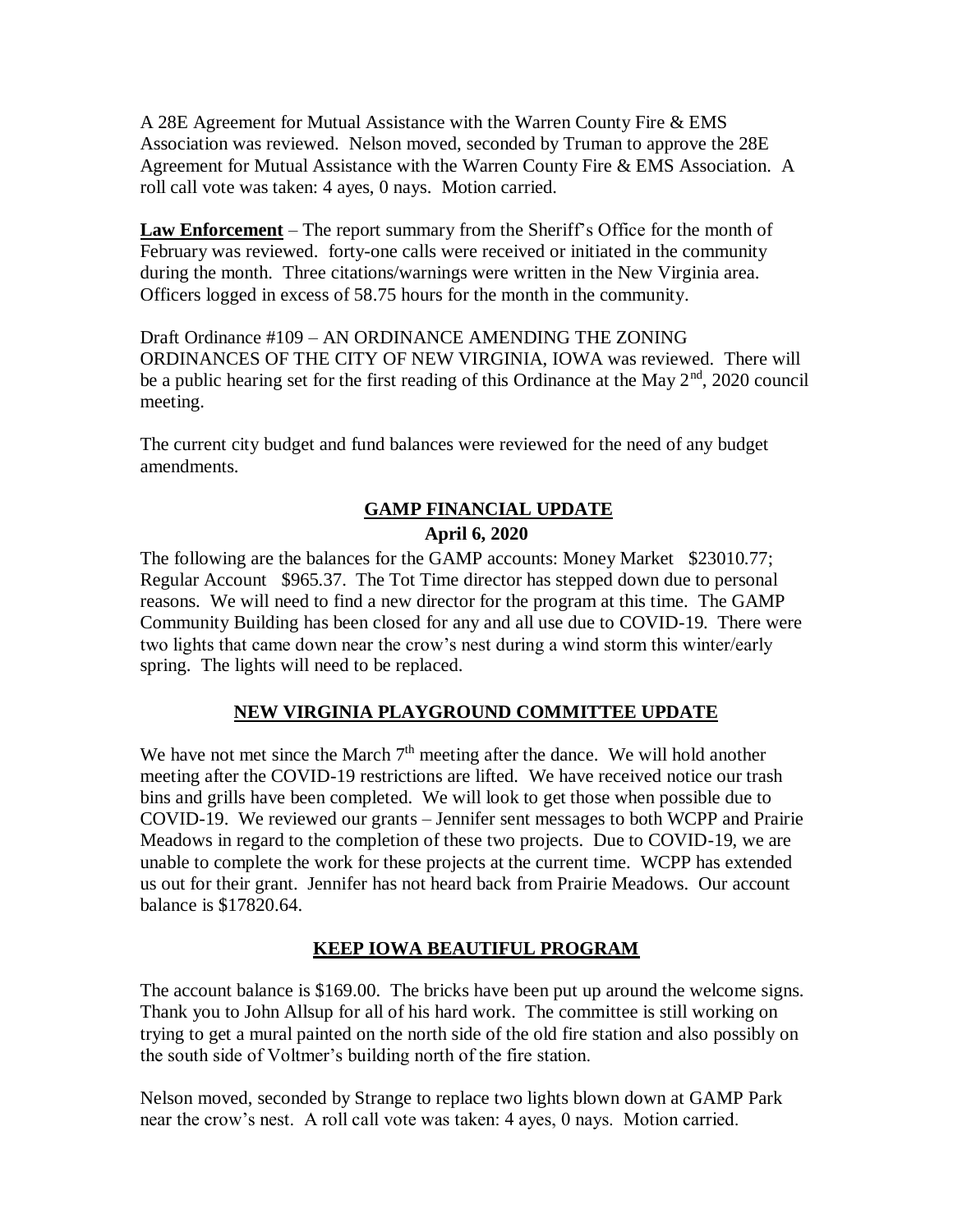A 28E Agreement for Mutual Assistance with the Warren County Fire & EMS Association was reviewed. Nelson moved, seconded by Truman to approve the 28E Agreement for Mutual Assistance with the Warren County Fire & EMS Association. A roll call vote was taken: 4 ayes, 0 nays. Motion carried.

**Law Enforcement** – The report summary from the Sheriff's Office for the month of February was reviewed. forty-one calls were received or initiated in the community during the month. Three citations/warnings were written in the New Virginia area. Officers logged in excess of 58.75 hours for the month in the community.

Draft Ordinance #109 – AN ORDINANCE AMENDING THE ZONING ORDINANCES OF THE CITY OF NEW VIRGINIA, IOWA was reviewed. There will be a public hearing set for the first reading of this Ordinance at the May  $2<sup>nd</sup>$ , 2020 council meeting.

The current city budget and fund balances were reviewed for the need of any budget amendments.

### **GAMP FINANCIAL UPDATE**

#### **April 6, 2020**

The following are the balances for the GAMP accounts: Money Market \$23010.77; Regular Account \$965.37. The Tot Time director has stepped down due to personal reasons. We will need to find a new director for the program at this time. The GAMP Community Building has been closed for any and all use due to COVID-19. There were two lights that came down near the crow's nest during a wind storm this winter/early spring. The lights will need to be replaced.

### **NEW VIRGINIA PLAYGROUND COMMITTEE UPDATE**

We have not met since the March  $7<sup>th</sup>$  meeting after the dance. We will hold another meeting after the COVID-19 restrictions are lifted. We have received notice our trash bins and grills have been completed. We will look to get those when possible due to COVID-19. We reviewed our grants – Jennifer sent messages to both WCPP and Prairie Meadows in regard to the completion of these two projects. Due to COVID-19, we are unable to complete the work for these projects at the current time. WCPP has extended us out for their grant. Jennifer has not heard back from Prairie Meadows. Our account balance is \$17820.64.

### **KEEP IOWA BEAUTIFUL PROGRAM**

The account balance is \$169.00. The bricks have been put up around the welcome signs. Thank you to John Allsup for all of his hard work. The committee is still working on trying to get a mural painted on the north side of the old fire station and also possibly on the south side of Voltmer's building north of the fire station.

Nelson moved, seconded by Strange to replace two lights blown down at GAMP Park near the crow's nest. A roll call vote was taken: 4 ayes, 0 nays. Motion carried.